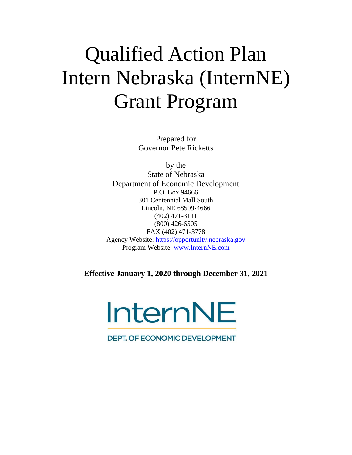# Qualified Action Plan Intern Nebraska (InternNE) Grant Program

Prepared for Governor Pete Ricketts

by the State of Nebraska Department of Economic Development P.O. Box 94666 301 Centennial Mall South Lincoln, NE 68509-4666 (402) 471-3111 (800) 426-6505 FAX (402) 471-3778 Agency Website: [https://opportunity.nebraska.gov](https://opportunity.nebraska.gov/) Program Website: [www.InternNE.com](http://www.internne.com/)

**Effective January 1, 2020 through December 31, 2021**

**InternNE** 

**DEPT. OF ECONOMIC DEVELOPMENT**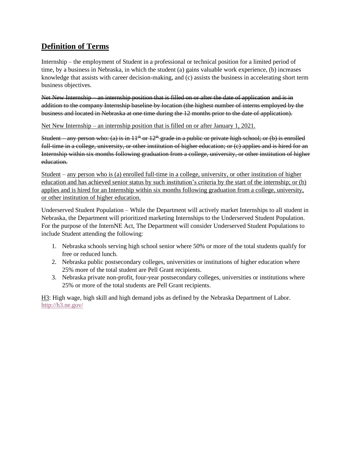## **Definition of Terms**

Internship – the employment of Student in a professional or technical position for a limited period of time, by a business in Nebraska, in which the student (a) gains valuable work experience, (b) increases knowledge that assists with career decision-making, and (c) assists the business in accelerating short term business objectives.

Net New Internship – an internship position that is filled on or after the date of application and is in addition to the company Internship baseline by location (the highest number of interns employed by the business and located in Nebraska at one time during the 12 months prior to the date of application).

Net New Internship – an internship position that is filled on or after January 1, 2021.

Student – any person who: (a) is in  $11<sup>th</sup>$  or  $12<sup>th</sup>$  grade in a public or private high school; or (b) is enrolled full-time in a college, university, or other institution of higher education; or (c) applies and is hired for an Internship within six months following graduation from a college, university, or other institution of higher education.

Student – any person who is (a) enrolled full-time in a college, university, or other institution of higher education and has achieved senior status by such institution's criteria by the start of the internship; or (b) applies and is hired for an Internship within six months following graduation from a college, university, or other institution of higher education.

Underserved Student Population – While the Department will actively market Internships to all student in Nebraska, the Department will prioritized marketing Internships to the Underserved Student Population. For the purpose of the InternNE Act, The Department will consider Underserved Student Populations to include Student attending the following:

- 1. Nebraska schools serving high school senior where 50% or more of the total students qualify for free or reduced lunch.
- 2. Nebraska public postsecondary colleges, universities or institutions of higher education where 25% more of the total student are Pell Grant recipients.
- 3. Nebraska private non-profit, four-year postsecondary colleges, universities or institutions where 25% or more of the total students are Pell Grant recipients.

H3: High wage, high skill and high demand jobs as defined by the Nebraska Department of Labor. <http://h3.ne.gov/>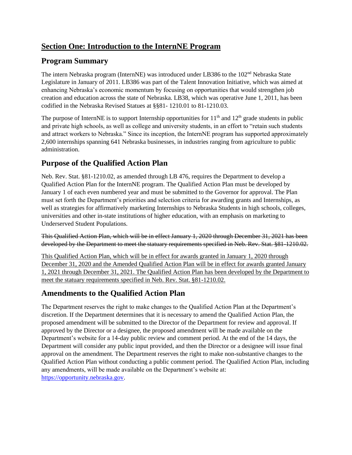## **Section One: Introduction to the InternNE Program**

# **Program Summary**

The intern Nebraska program (InternNE) was introduced under LB386 to the  $102<sup>nd</sup>$  Nebraska State Legislature in January of 2011. LB386 was part of the Talent Innovation Initiative, which was aimed at enhancing Nebraska's economic momentum by focusing on opportunities that would strengthen job creation and education across the state of Nebraska. LB38, which was operative June 1, 2011, has been codified in the Nebraska Revised Statues at §§81- 1210.01 to 81-1210.03.

The purpose of InternNE is to support Internship opportunities for  $11<sup>th</sup>$  and  $12<sup>th</sup>$  grade students in public and private high schools, as well as college and university students, in an effort to "retain such students and attract workers to Nebraska." Since its inception, the InternNE program has supported approximately 2,600 internships spanning 641 Nebraska businesses, in industries ranging from agriculture to public administration.

## **Purpose of the Qualified Action Plan**

Neb. Rev. Stat. §81-1210.02, as amended through LB 476, requires the Department to develop a Qualified Action Plan for the InternNE program. The Qualified Action Plan must be developed by January 1 of each even numbered year and must be submitted to the Governor for approval. The Plan must set forth the Department's priorities and selection criteria for awarding grants and Internships, as well as strategies for affirmatively marketing Internships to Nebraska Students in high schools, colleges, universities and other in-state institutions of higher education, with an emphasis on marketing to Underserved Student Populations.

This Qualified Action Plan, which will be in effect January 1, 2020 through December 31, 2021 has been developed by the Department to meet the statuary requirements specified in Neb. Rev. Stat. §81-1210.02.

This Qualified Action Plan, which will be in effect for awards granted in January 1, 2020 through December 31, 2020 and the Amended Qualified Action Plan will be in effect for awards granted January 1, 2021 through December 31, 2021. The Qualified Action Plan has been developed by the Department to meet the statuary requirements specified in Neb. Rev. Stat. §81-1210.02.

## **Amendments to the Qualified Action Plan**

The Department reserves the right to make changes to the Qualified Action Plan at the Department's discretion. If the Department determines that it is necessary to amend the Qualified Action Plan, the proposed amendment will be submitted to the Director of the Department for review and approval. If approved by the Director or a designee, the proposed amendment will be made available on the Department's website for a 14-day public review and comment period. At the end of the 14 days, the Department will consider any public input provided, and then the Director or a designee will issue final approval on the amendment. The Department reserves the right to make non-substantive changes to the Qualified Action Plan without conducting a public comment period. The Qualified Action Plan, including any amendments, will be made available on the Department's website at: [https://opportunity.nebraska.gov.](https://opportunity.nebraska.gov/)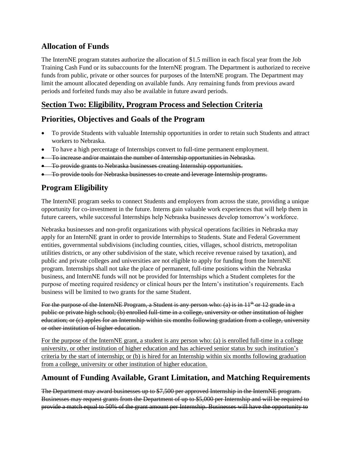#### **Allocation of Funds**

The InternNE program statutes authorize the allocation of \$1.5 million in each fiscal year from the Job Training Cash Fund or its subaccounts for the InternNE program. The Department is authorized to receive funds from public, private or other sources for purposes of the InternNE program. The Department may limit the amount allocated depending on available funds. Any remaining funds from previous award periods and forfeited funds may also be available in future award periods.

## **Section Two: Eligibility, Program Process and Selection Criteria**

# **Priorities, Objectives and Goals of the Program**

- To provide Students with valuable Internship opportunities in order to retain such Students and attract workers to Nebraska.
- To have a high percentage of Internships convert to full-time permanent employment.
- To increase and/or maintain the number of Internship opportunities in Nebraska.
- To provide grants to Nebraska businesses creating Internship opportunities.
- To provide tools for Nebraska businesses to create and leverage Internship programs.

## **Program Eligibility**

The InternNE program seeks to connect Students and employers from across the state, providing a unique opportunity for co-investment in the future. Interns gain valuable work experiences that will help them in future careers, while successful Internships help Nebraska businesses develop tomorrow's workforce.

Nebraska businesses and non-profit organizations with physical operations facilities in Nebraska may apply for an InternNE grant in order to provide Internships to Students. State and Federal Government entities, governmental subdivisions (including counties, cities, villages, school districts, metropolitan utilities districts, or any other subdivision of the state, which receive revenue raised by taxation), and public and private colleges and universities are not eligible to apply for funding from the InternNE program. Internships shall not take the place of permanent, full-time positions within the Nebraska business, and InternNE funds will not be provided for Internships which a Student completes for the purpose of meeting required residency or clinical hours per the Intern's institution's requirements. Each business will be limited to two grants for the same Student.

For the purpose of the InternNE Program, a Student is any person who: (a) is in 11<sup>th</sup> or 12 grade in a public or private high school; (b) enrolled full-time in a college, university or other institution of higher education; or (c) apples for an Internship within six months following gradation from a college, university or other institution of higher education.

For the purpose of the InternNE grant, a student is any person who: (a) is enrolled full-time in a college university, or other institution of higher education and has achieved senior status by such institution's criteria by the start of internship; or (b) is hired for an Internship within six months following graduation from a college, university or other institution of higher education.

## **Amount of Funding Available, Grant Limitation, and Matching Requirements**

The Department may award businesses up to \$7,500 per approved Internship in the InternNE program. Businesses may request grants from the Department of up to \$5,000 per Internship and will be required to provide a match equal to 50% of the grant amount per Internship. Businesses will have the opportunity to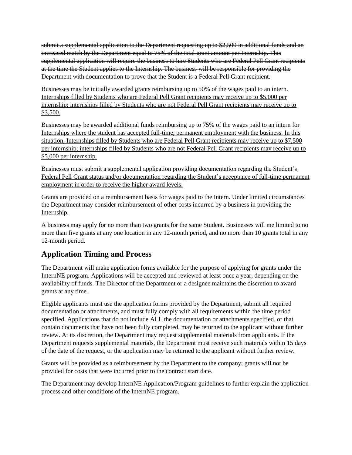submit a supplemental application to the Department requesting up to \$2,500 in additional funds and an increased match by the Department equal to 75% of the total grant amount per Internship. This supplemental application will require the business to hire Students who are Federal Pell Grant recipients at the time the Student applies to the Internship. The business will be responsible for providing the Department with documentation to prove that the Student is a Federal Pell Grant recipient.

Businesses may be initially awarded grants reimbursing up to 50% of the wages paid to an intern. Internships filled by Students who are Federal Pell Grant recipients may receive up to \$5,000 per internship; internships filled by Students who are not Federal Pell Grant recipients may receive up to \$3,500.

Businesses may be awarded additional funds reimbursing up to 75% of the wages paid to an intern for Internships where the student has accepted full-time, permanent employment with the business. In this situation, Internships filled by Students who are Federal Pell Grant recipients may receive up to \$7,500 per internship; internships filled by Students who are not Federal Pell Grant recipients may receive up to \$5,000 per internship.

Businesses must submit a supplemental application providing documentation regarding the Student's Federal Pell Grant status and/or documentation regarding the Student's acceptance of full-time permanent employment in order to receive the higher award levels.

Grants are provided on a reimbursement basis for wages paid to the Intern. Under limited circumstances the Department may consider reimbursement of other costs incurred by a business in providing the Internship.

A business may apply for no more than two grants for the same Student. Businesses will me limited to no more than five grants at any one location in any 12-month period, and no more than 10 grants total in any 12-month period.

## **Application Timing and Process**

The Department will make application forms available for the purpose of applying for grants under the InternNE program. Applications will be accepted and reviewed at least once a year, depending on the availability of funds. The Director of the Department or a designee maintains the discretion to award grants at any time.

Eligible applicants must use the application forms provided by the Department, submit all required documentation or attachments, and must fully comply with all requirements within the time period specified. Applications that do not include ALL the documentation or attachments specified, or that contain documents that have not been fully completed, may be returned to the applicant without further review. At its discretion, the Department may request supplemental materials from applicants. If the Department requests supplemental materials, the Department must receive such materials within 15 days of the date of the request, or the application may be returned to the applicant without further review.

Grants will be provided as a reimbursement by the Department to the company; grants will not be provided for costs that were incurred prior to the contract start date.

The Department may develop InternNE Application/Program guidelines to further explain the application process and other conditions of the InternNE program.